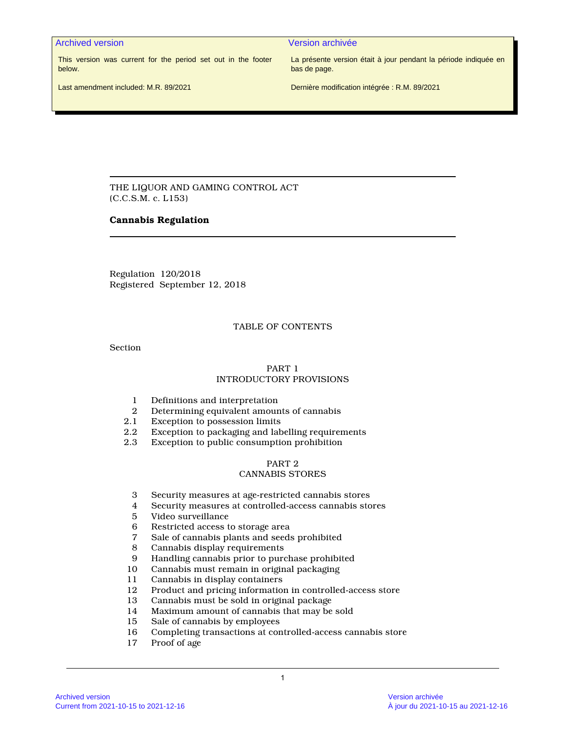Archived version Version archivée

This version was current for the period set out in the footer below.

La présente version était à jour pendant la période indiquée en bas de page.

Last amendment included: M.R. 89/2021

Dernière modification intégrée : R.M. 89/2021

THE LIQUOR AND GAMING CONTROL ACT (C.C.S.M. c. L153)

# **Cannabis Regulation**

Regulation 120/2018 Registered September 12, 2018

# TABLE OF CONTENTS

Section

# PART 1 INTRODUCTORY PROVISIONS

- 1 Definitions and interpretation<br>2 Determining equivalent amour
- 2 Determining equivalent amounts of cannabis<br>2.1 Exception to possession limits
- Exception to possession limits
- 2.2 Exception to packaging and labelling requirements
- 2.3 Exception to public consumption prohibition

# PART 2

# CANNABIS STORES

- 3 Security measures at age-restricted cannabis stores
- 4 Security measures at controlled-access cannabis stores
- 5 Video surveillance
- 6 Restricted access to storage area
- 7 Sale of cannabis plants and seeds prohibited
- 8 Cannabis display requirements<br>9 Handling cannabis prior to pure
- 9 Handling cannabis prior to purchase prohibited
- 10 Cannabis must remain in original packaging<br>11 Cannabis in display containers
- Cannabis in display containers
- 12 Product and pricing information in controlled-access store
- 13 Cannabis must be sold in original package
- 14 Maximum amount of cannabis that may be sold<br>15 Sale of cannabis by employees
- Sale of cannabis by employees
- 16 Completing transactions at controlled-access cannabis store
- 17 Proof of age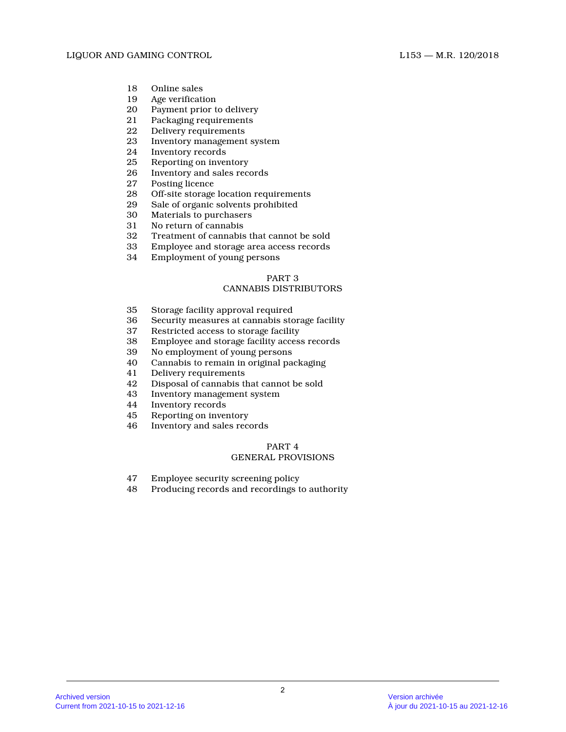- 18 Online sales<br>19 Age verificati
- Age verification
- 20 Payment prior to delivery
- 21 Packaging requirements<br>22 Delivery requirements
- Delivery requirements
- 23 Inventory management system<br>24 Inventory records
- 24 Inventory records<br>25 Reporting on inver
- Reporting on inventory
- 26 Inventory and sales records<br>27 Posting licence
- 27 Posting licence<br>28 Off-site storage
- 28 Off-site storage location requirements<br>29 Sale of organic solvents prohibited
- Sale of organic solvents prohibited
- 30 Materials to purchasers
- 31 No return of cannabis
- 32 Treatment of cannabis that cannot be sold
- 33 Employee and storage area access records
- 34 Employment of young persons

# CANNABIS DISTRIBUTORS

- 35 Storage facility approval required
- 36 Security measures at cannabis storage facility
- Restricted access to storage facility
- 38 Employee and storage facility access records
- 39 No employment of young persons<br>40 Cannabis to remain in original pa
- Cannabis to remain in original packaging
- 41 Delivery requirements
- 42 Disposal of cannabis that cannot be sold<br>43 Inventory management system
- 43 Inventory management system
- 44 Inventory records
- 45 Reporting on inventory
- 46 Inventory and sales records

# PART 4 GENERAL PROVISIONS

- 47 Employee security screening policy
- 48 Producing records and recordings to authority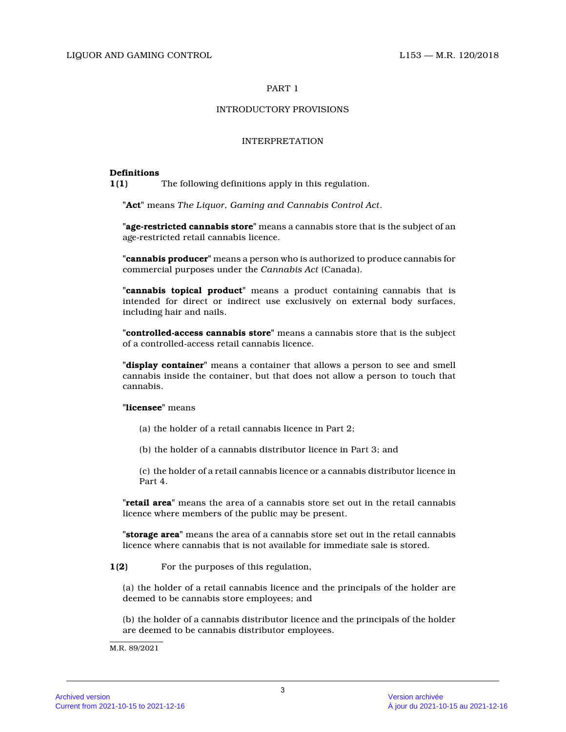# INTRODUCTORY PROVISIONS

# INTERPRETATION

# **Definitions**

**1(1)** The following definitions apply in this regulation.

**"Act"** means *The Liquor, Gaming and Cannabis Control Act* .

**"age-restricted cannabis store"** means a cannabis store that is the subject of an age-restricted retail cannabis licence.

**"cannabis producer"** means a person who is authorized to produce cannabis for commercial purposes under the *Cannabis Act* (Canada).

**"cannabis topical product"** means a product containing cannabis that is intended for direct or indirect use exclusively on external body surfaces, including hair and nails.

**"controlled-access cannabis store"** means a cannabis store that is the subject of a controlled-access retail cannabis licence.

**"display container"** means a container that allows a person to see and smell cannabis inside the container, but that does not allow a person to touch that cannabis.

# **"licensee"** means

- (a) the holder of a retail cannabis licence in Part 2;
- (b) the holder of a cannabis distributor licence in Part 3; and

(c) the holder of a retail cannabis licence or a cannabis distributor licence in Part 4.

**"retail area"** means the area of a cannabis store set out in the retail cannabis licence where members of the public may be present.

**"storage area"** means the area of a cannabis store set out in the retail cannabis licence where cannabis that is not available for immediate sale is stored.

**1(2)** For the purposes of this regulation,

(a) the holder of a retail cannabis licence and the principals of the holder are deemed to be cannabis store employees; and

(b) the holder of a cannabis distributor licence and the principals of the holder are deemed to be cannabis distributor employees.

M.R. 89/2021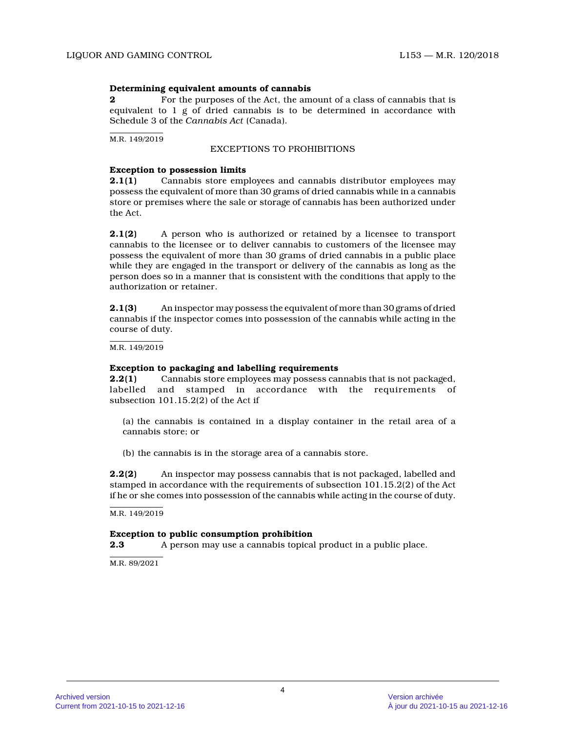# **Determining equivalent amounts of cannabis**

**2 2** For the purposes of the Act, the amount of a class of cannabis that is equivalent to  $1 \nsubseteq$  of dried cannabis is to be determined in accordance with Schedule 3 of the *Cannabis Act* (Canada).

M.R. 149/2019

# EXCEPTIONS TO PROHIBITIONS

# **Exception to possession limits**

**2.1(1)** Cannabis store employees and cannabis distributor employees may possess the equivalent of more than 30 grams of dried cannabis while in a cannabis store or premises where the sale or storage of cannabis has been authorized under the Act.

**2.1(2)** A person who is authorized or retained by a licensee to transport cannabis to the licensee or to deliver cannabis to customers of the licensee may possess the equivalent of more than 30 grams of dried cannabis in a public place while they are engaged in the transport or delivery of the cannabis as long as the person does so in a manner that is consistent with the conditions that apply to the authorization or retainer.

**2.1(3)** An inspector may possess the equivalent of more than 30 grams of dried cannabis if the inspector comes into possession of the cannabis while acting in the course of duty.

M.R. 149/2019

# **Exception to packaging and labelling requirements**

**2.2(1)** Cannabis store employees may possess cannabis that is not packaged, labelled and stamped in accordance with the requirements of subsection 101.15.2(2) of the Act if

(a) the cannabis is contained in a display container in the retail area of a cannabis store; or

(b) the cannabis is in the storage area of a cannabis store.

**2.2(2)** An inspector may possess cannabis that is not packaged, labelled and stamped in accordance with the requirements of subsection 101.15.2(2) of the Act if he or she comes into possession of the cannabis while acting in the course of duty.

 $M.R. 149/2019$ 

# **Exception to public consumption prohibition**

**2.3** A person may use a cannabis topical product in a public place.

M.R. 89/2021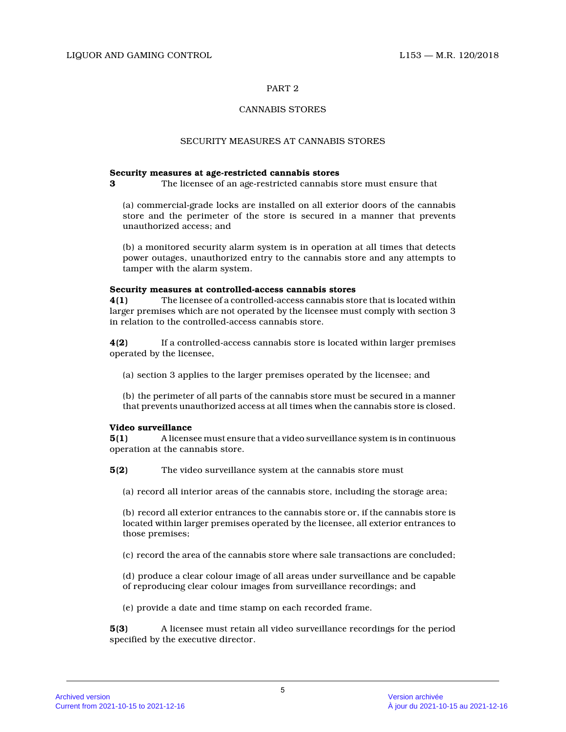# CANNABIS STORES

# SECURITY MEASURES AT CANNABIS STORES

# **Security measures at age-restricted cannabis stores**

**3** The licensee of an age-restricted cannabis store must ensure that

(a) commercial-grade locks are installed on all exterior doors of the cannabis store and the perimeter of the store is secured in a manner that prevents unauthorized access; and

(b) a monitored security alarm system is in operation at all times that detects power outages, unauthorized entry to the cannabis store and any attempts to tamper with the alarm system.

# **Security measures at controlled-access cannabis stores**

**4(1)** The licensee of a controlled-access cannabis store that is located within larger premises which are not operated by the licensee must comply with section 3 in relation to the controlled-access cannabis store .

**4(2)** If a controlled-access cannabis store is located within larger premises operated by the licensee,

(a) section 3 applies to the larger premises operated by the licensee; and

(b) the perimeter of all parts of the cannabis store must be secured in a manner that prevents unauthorized access at all times when the cannabis store is closed.

# **Video surveillance**

**5(1)** A licensee must ensure that a video surveillance system is in continuous operation at the cannabis store.

**5(2)** The video surveillance system at the cannabis store must

(a) record all interior areas of the cannabis store, including the storage area;

(b) record all exterior entrances to the cannabis store or, if the cannabis store is located within larger premises operated by the licensee, all exterior entrances to those premises;

(c) record the area of the cannabis store where sale transactions are concluded;

(d) produce a clear colour image of all areas under surveillance and be capable of reproducing clear colour images from surveillance recordings; and

(e) provide a date and time stamp on each recorded frame.

**5(3)** A licensee must retain all video surveillance recordings for the period specified by the executive director.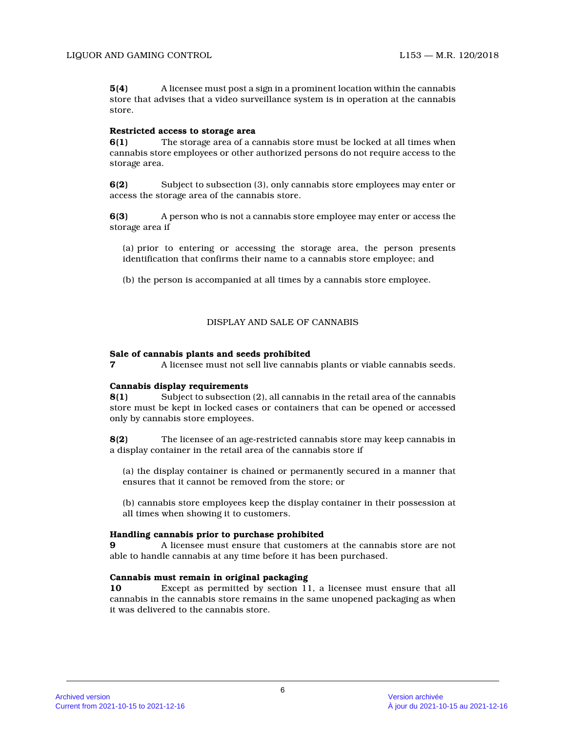**5(4)** A licensee must post a sign in a prominent location within the cannabis store that advises that a video surveillance system is in operation at the cannabis store.

# **Restricted access to storage area**

**6(1)** The storage area of a cannabis store must be locked at all times when cannabis store employees or other authorized persons do not require access to the storage area.

**6(2)** Subject to subsection (3), only cannabis store employees may enter or access the storage area of the cannabis store.

**6(3)** A person who is not a cannabis store employee may enter or access the storage area if

(a) prior to entering or accessing the storage area, the person presents identification that confirms their name to a cannabis store employee; and

(b) the person is accompanied at all times by a cannabis store employee.

# DISPLAY AND SALE OF CANNABIS

# **Sale of cannabis plants and seeds prohibited**

**7** A licensee must not sell live cannabis plants or viable cannabis seeds.

# **Cannabis display requirements**

**8(1)** Subject to subsection (2), all cannabis in the retail area of the cannabis store must be kept in locked cases or containers that can be opened or accessed only by cannabis store employees.

**8(2)** The licensee of an age-restricted cannabis store may keep cannabis in a display container in the retail area of the cannabis store if

(a) the display container is chained or permanently secured in a manner that ensures that it cannot be removed from the store; o r

(b) cannabis store employees keep the display container in their possession at all times when showing it to customers.

# **Handling cannabis prior to purchase prohibited**

**9** A licensee must ensure that customers at the cannabis store are not able to handle cannabis at any time before it has been purchased.

# **Cannabis must remain in original packaging**

**10** Except as permitted by section 11, a licensee must ensure that all cannabis in the cannabis store remains in the same unopened packaging as when it was delivered to the cannabis store.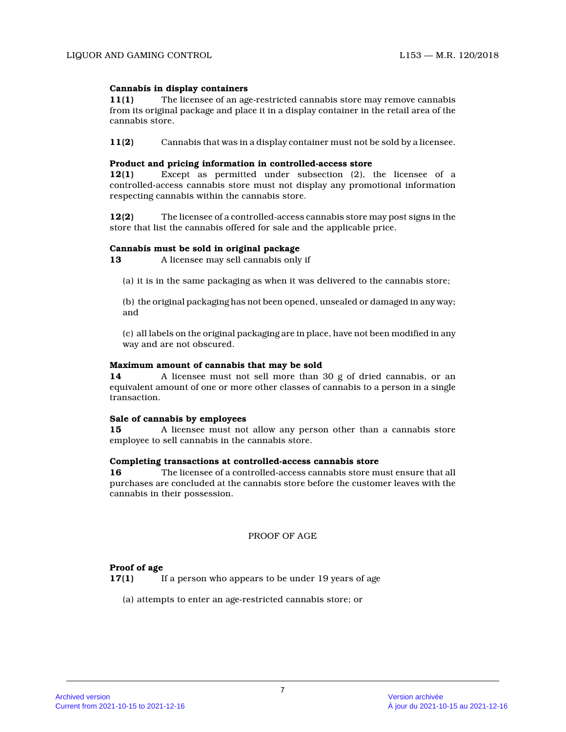# **Cannabis in display containers**

**11(1)** The licensee of an age-restricted cannabis store may remove cannabis from its original package and place it in a display container in the retail area of the cannabis store.

**11(2)** Cannabis that was in a display container must not be sold by a licensee.

# **Product and pricing information in controlled-access store**

**12(1)** Except as permitted under subsection (2), the licensee of a controlled-access cannabis store must not display any promotional information respecting cannabis within the cannabis store.

**12(2)** The licensee of a controlled-access cannabis store may post signs in the store that list the cannabis offered for sale and the applicable price.

# **Cannabis must be sold in original package**

**13** A licensee may sell cannabis only if

(a) it is in the same packaging as when it was delivered to the cannabis store;

(b) the original packaging has not been opened, unsealed or damaged in any way; and

(c) all labels on the original packaging are in place, have not been modified in any way and are not obscured.

# **Maximum amount of cannabis that may be sold**

**14** A licensee must not sell more than 30 g of dried cannabis, or an equivalent amount of one or more other classes of cannabis to a person in a single transaction.

# **Sale of cannabis by employees**

**15** A licensee must not allow any person other than a cannabis store employee to sell cannabis in the cannabis store.

# **Completing transactions at controlled-access cannabis store**

**16** The licensee of a controlled-access cannabis store must ensure that all purchases are concluded at the cannabis store before the customer leaves with the cannabis in their possession.

PROOF OF AGE

# **Proof of age**

**17(1)** If a person who appears to be under 19 years of age

(a) attempts to enter an age-restricted cannabis store; or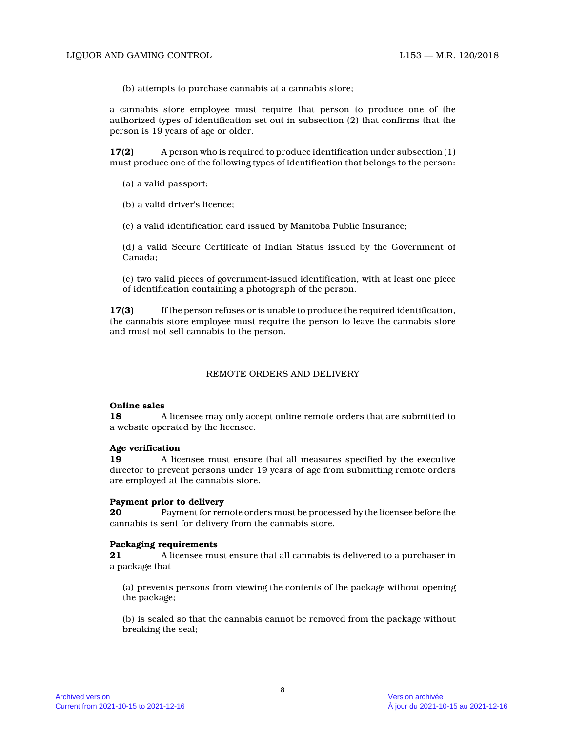(b) attempts to purchase cannabis at a cannabis store;

a cannabis store employee must require that person to produce one of the authorized types of identification set out in subsection (2) that confirms that the person is 19 years of age or older.

**17(2)** A person who is required to produce identification under subsection (1) must produce one of the following types of identification that belongs to the person:

(a) a valid passport;

(b) a valid driver's licence;

(c) a valid identification card issued by Manitoba Public Insurance;

(d) a valid Secure Certificate of Indian Status issued by the Government of Canada;

(e) two valid pieces of government-issued identification, with at least one piece of identification containing a photograph of the person.

**17(3)** If the person refuses or is unable to produce the required identification, the cannabis store employee must require the person to leave the cannabis store and must not sell cannabis to the person.

# REMOTE ORDERS AND DELIVERY

#### **Online sales**

**18** A licensee may only accept online remote orders that are submitted to a website operated by the licensee.

# **Age verification**

**19** A licensee must ensure that all measures specified by the executive director to prevent persons under 19 years of age from submitting remote orders are employed at the cannabis store.

#### **Payment prior to delivery**

**20** Payment for remote orders must be processed by the licensee before the cannabis is sent for delivery from the cannabis store.

#### **Packaging requirements**

**21** A licensee must ensure that all cannabis is delivered to a purchaser in a package that

(a) prevents persons from viewing the contents of the package without opening the package;

(b) is sealed so that the cannabis cannot be removed from the package without breaking the seal;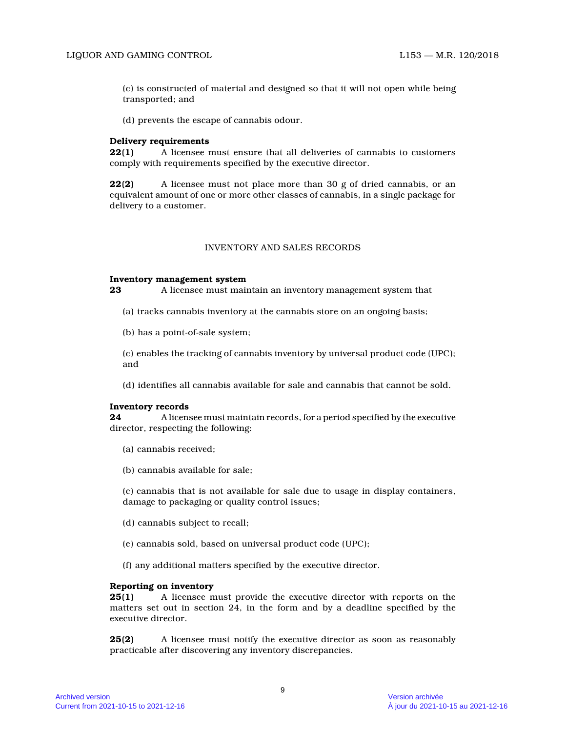(c) is constructed of material and designed so that it will not open while being transported; and

(d) prevents the escape of cannabis odour.

### **Delivery requirements**

**22(1)** A licensee must ensure that all deliveries of cannabis to customers comply with requirements specified by the executive director.

**22(2)** A licensee must not place more than 30 g of dried cannabis, or an equivalent amount of one or more other classes of cannabis, in a single package for delivery to a customer.

# INVENTORY AND SALES RECORDS

### **Inventory management system**

**23** A licensee must maintain an inventory management system that

- (a) tracks cannabis inventory at the cannabis store on an ongoing basis;
- (b) has a point-of-sale system;

(c) enables the tracking of cannabis inventory by universal product code (UPC); and

(d) identifies all cannabis available for sale and cannabis that cannot be sold.

#### **Inventory records**

**24** A licensee must maintain records, for a period specified by the executive director, respecting the following:

- (a) cannabis received;
- (b) cannabis available for sale;

(c) cannabis that is not available for sale due to usage in display containers, damage to packaging or quality control issues;

- (d) cannabis subject to recall;
- (e) cannabis sold, based on universal product code (UPC);
- (f) any additional matters specified by the executive director.

# **Reporting on inventory**

**25(1)** A licensee must provide the executive director with reports on the matters set out in section 24, in the form and by a deadline specified by the executive director.

**25(2)** A licensee must notify the executive director as soon as reasonably practicable after discovering any inventory discrepancies.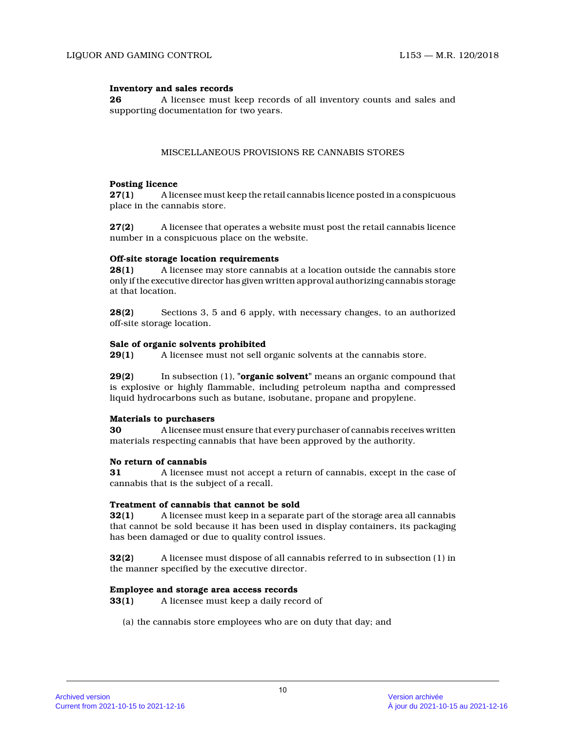# **Inventory and sales records**

**26** A licensee must keep records of all inventory counts and sales and supporting documentation for two years.

# MISCELLANEOUS PROVISIONS RE CANNABIS STORES

# **Posting licence**

**27(1)** A licensee must keep the retail cannabis licence posted in a conspicuous place in the cannabis store.

**27(2)** A licensee that operates a website must post the retail cannabis licence number in a conspicuous place on the website.

# **Off-site storage location requirements**

**28(1)** A licensee may store cannabis at a location outside the cannabis store only if the executive director has given written approval authorizing cannabis storage at that location.

**28(2)** Sections 3, 5 and 6 apply, with necessary changes, to an authorized off-site storage location.

# **Sale of organic solvents prohibited**

**29(1)** A licensee must not sell organic solvents at the cannabis store.

**29(2)** In subsection (1), **"organic solvent"** means an organic compound that is explosive or highly flammable, including petroleum naptha and compressed liquid hydrocarbons such as butane, isobutane, propane and propylene.

# **Materials to purchasers**

**30** A licensee must ensure that every purchaser of cannabis receives written materials respecting cannabis that have been approved by the authority.

# **No return of cannabis**

**31** A licensee must not accept a return of cannabis, except in the case of cannabis that is the subject of a recall.

# **Treatment of cannabis that cannot be sold**

**32(1)** A licensee must keep in a separate part of the storage area all cannabis that cannot be sold because it has been used in display containers, its packaging has been damaged or due to quality control issues.

**32(2)** A licensee must dispose of all cannabis referred to in subsection (1) in the manner specified by the executive director.

# **Employee and storage area access records**

**33(1)** A licensee must keep a daily record of

(a) the cannabis store employees who are on duty that day; and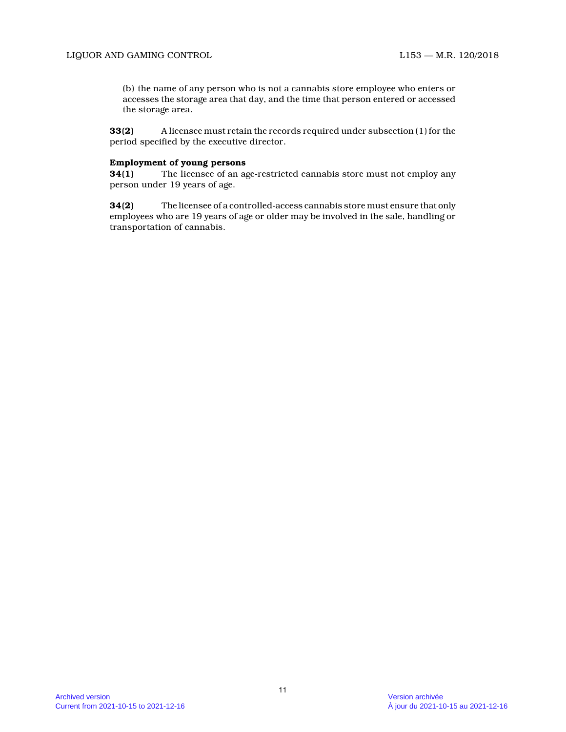(b) the name of any person who is not a cannabis store employee who enters or accesses the storage area that day, and the time that person entered or accessed the storage area.

**33(2)** A licensee must retain the records required under subsection (1) for the period specified by the executive director.

# **Employment of young persons**

**34(1)** The licensee of an age-restricted cannabis store must not employ any person under 19 years of age.

**34(2)** The licensee of a controlled-access cannabis store must ensure that only employees who are 19 years of age or older may be involved in the sale, handling or transportation of cannabis.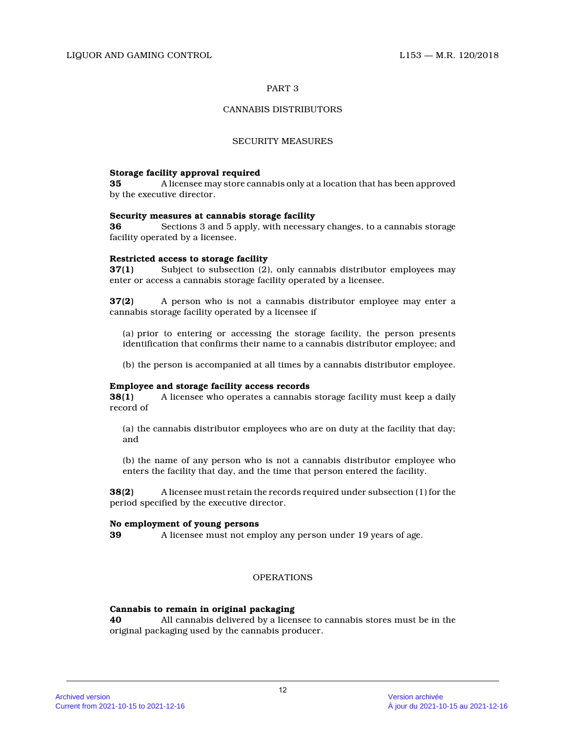# CANNABIS DISTRIBUTORS

# SECURITY MEASURES

# **Storage facility approval required**

**35** A licensee may store cannabis only at a location that has been approved by the executive director.

### **Security measures at cannabis storage facility**

**36** Sections 3 and 5 apply, with necessary changes, to a cannabis storage facility operated by a licensee.

# **Restricted access to storage facility**

**37(1)** Subject to subsection (2), only cannabis distributor employees may enter or access a cannabis storage facility operated by a licensee.

**37(2)** A person who is not a cannabis distributor employee may enter a cannabis storage facility operated by a licensee if

(a) prior to entering or accessing the storage facility, the person presents identification that confirms their name to a cannabis distributor employee; and

(b) the person is accompanied at all times by a cannabis distributor employee.

# **Employee and storage facility access records**

**38(1)** A licensee who operates a cannabis storage facility must keep a daily record of

(a) the cannabis distributor employees who are on duty at the facility that day; and

(b) the name of any person who is not a cannabis distributor employee who enters the facility that day, and the time that person entered the facility.

**38(2)** A licensee must retain the records required under subsection (1) for the period specified by the executive director.

# **No employment of young persons**

**39** A licensee must not employ any person under 19 years of age.

# OPERATIONS

# **Cannabis to remain in original packaging**

**40** All cannabis delivered by a licensee to cannabis stores must be in the original packaging used by the cannabis producer.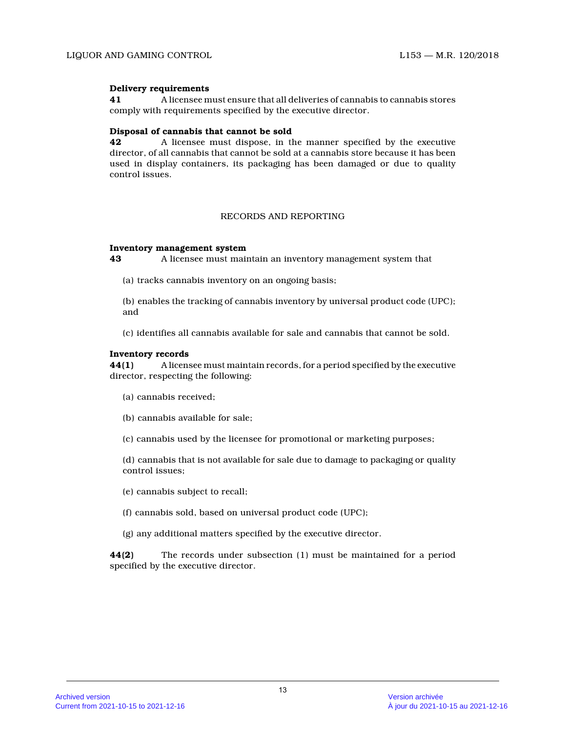# **Delivery requirements**

**41** A licensee must ensure that all deliveries of cannabis to cannabis stores comply with requirements specified by the executive director.

# **Disposal of cannabis that cannot be sold**

**42** A licensee must dispose, in the manner specified by the executive director, of all cannabis that cannot be sold at a cannabis store because it has been used in display containers, its packaging has been damaged or due to quality control issues.

# RECORDS AND REPORTING

### **Inventory management system**

**43** A licensee must maintain an inventory management system that

(a) tracks cannabis inventory on an ongoing basis;

(b) enables the tracking of cannabis inventory by universal product code (UPC); and

(c) identifies all cannabis available for sale and cannabis that cannot be sold.

### **Inventory records**

**44(1)** A licensee must maintain records, for a period specified by the executive director, respecting the following:

- (a) cannabis received;
- (b) cannabis available for sale;
- (c) cannabis used by the licensee for promotional or marketing purposes;

(d) cannabis that is not available for sale due to damage to packaging or quality control issues;

(e) cannabis subject to recall;

- (f) cannabis sold, based on universal product code (UPC);
- (g) any additional matters specified by the executive director.

**44(2)** The records under subsection (1) must be maintained for a period specified by the executive director.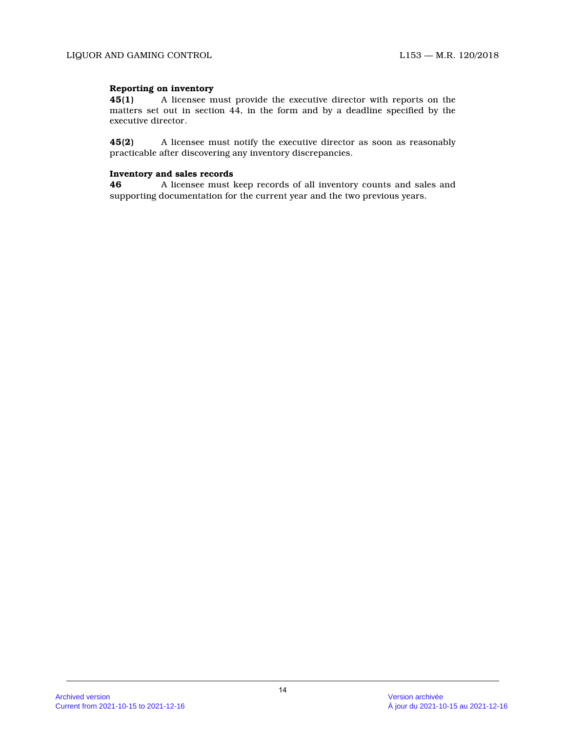# **Reporting on inventory**

**45(1)** A licensee must provide the executive director with reports on the matters set out in section 44, in the form and by a deadline specified by the executive director.

**45(2)** A licensee must notify the executive director as soon as reasonably practicable after discovering any inventory discrepancies.

# **Inventory and sales records**

**46** A licensee must keep records of all inventory counts and sales and supporting documentation for the current year and the two previous years.